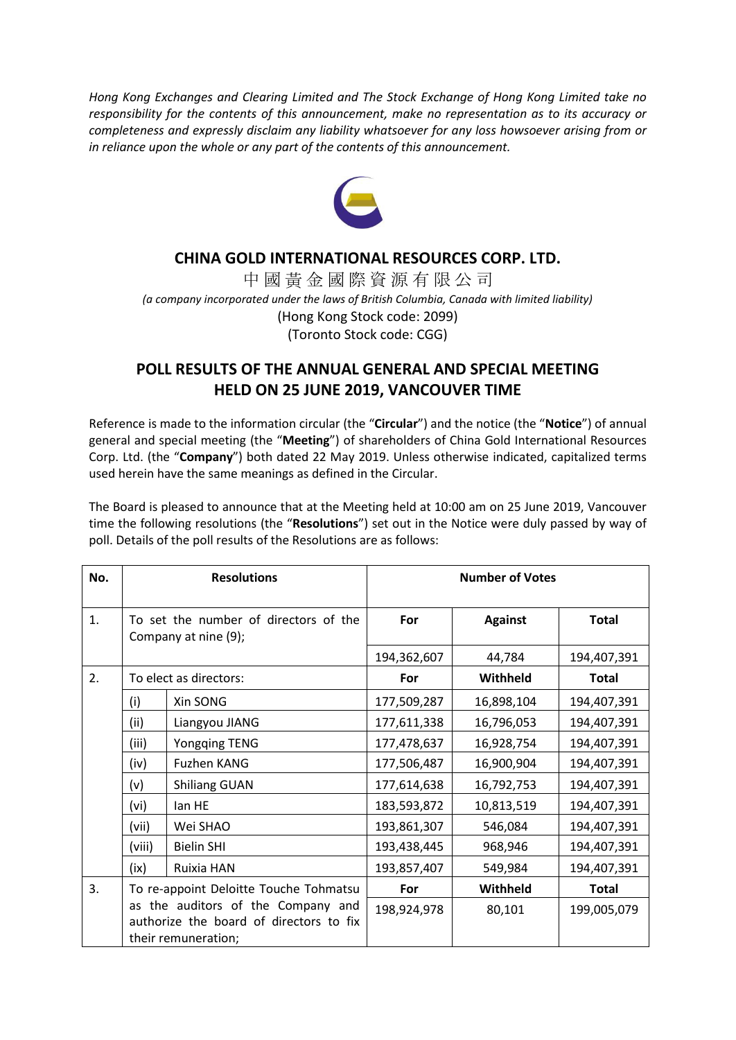*Hong Kong Exchanges and Clearing Limited and The Stock Exchange of Hong Kong Limited take no responsibility for the contents of this announcement, make no representation as to its accuracy or completeness and expressly disclaim any liability whatsoever for any loss howsoever arising from or in reliance upon the whole or any part of the contents of this announcement.*



## **CHINA GOLD INTERNATIONAL RESOURCES CORP. LTD.**

中 國 黃 金 國 際 資 源 有 限 公 司 *(a company incorporated under the laws of British Columbia, Canada with limited liability)* (Hong Kong Stock code: 2099) (Toronto Stock code: CGG)

## **POLL RESULTS OF THE ANNUAL GENERAL AND SPECIAL MEETING HELD ON 25 JUNE 2019, VANCOUVER TIME**

Reference is made to the information circular (the "**Circular**") and the notice (the "**Notice**") of annual general and special meeting (the "**Meeting**") of shareholders of China Gold International Resources Corp. Ltd. (the "**Company**") both dated 22 May 2019. Unless otherwise indicated, capitalized terms used herein have the same meanings as defined in the Circular.

The Board is pleased to announce that at the Meeting held at 10:00 am on 25 June 2019, Vancouver time the following resolutions (the "**Resolutions**") set out in the Notice were duly passed by way of poll. Details of the poll results of the Resolutions are as follows:

| No. | <b>Resolutions</b>                                                                                   |                        | <b>Number of Votes</b> |                |              |
|-----|------------------------------------------------------------------------------------------------------|------------------------|------------------------|----------------|--------------|
| 1.  | To set the number of directors of the<br>Company at nine (9);                                        |                        | For                    | <b>Against</b> | <b>Total</b> |
|     |                                                                                                      |                        | 194,362,607            | 44,784         | 194,407,391  |
| 2.  |                                                                                                      | To elect as directors: | For                    | Withheld       | <b>Total</b> |
|     | (i)                                                                                                  | Xin SONG               | 177,509,287            | 16,898,104     | 194,407,391  |
|     | (ii)                                                                                                 | Liangyou JIANG         | 177,611,338            | 16,796,053     | 194,407,391  |
|     | (iii)                                                                                                | <b>Yongqing TENG</b>   | 177,478,637            | 16,928,754     | 194,407,391  |
|     | (iv)                                                                                                 | <b>Fuzhen KANG</b>     | 177,506,487            | 16,900,904     | 194,407,391  |
|     | (v)                                                                                                  | <b>Shiliang GUAN</b>   | 177,614,638            | 16,792,753     | 194,407,391  |
|     | (vi)                                                                                                 | lan HE                 | 183,593,872            | 10,813,519     | 194,407,391  |
|     | (vii)                                                                                                | Wei SHAO               | 193,861,307            | 546,084        | 194,407,391  |
|     | (viii)                                                                                               | <b>Bielin SHI</b>      | 193,438,445            | 968,946        | 194,407,391  |
|     | (ix)                                                                                                 | Ruixia HAN             | 193,857,407            | 549,984        | 194,407,391  |
| 3.  | To re-appoint Deloitte Touche Tohmatsu                                                               |                        | For                    | Withheld       | <b>Total</b> |
|     | as the auditors of the Company and<br>authorize the board of directors to fix<br>their remuneration; |                        | 198,924,978            | 80,101         | 199,005,079  |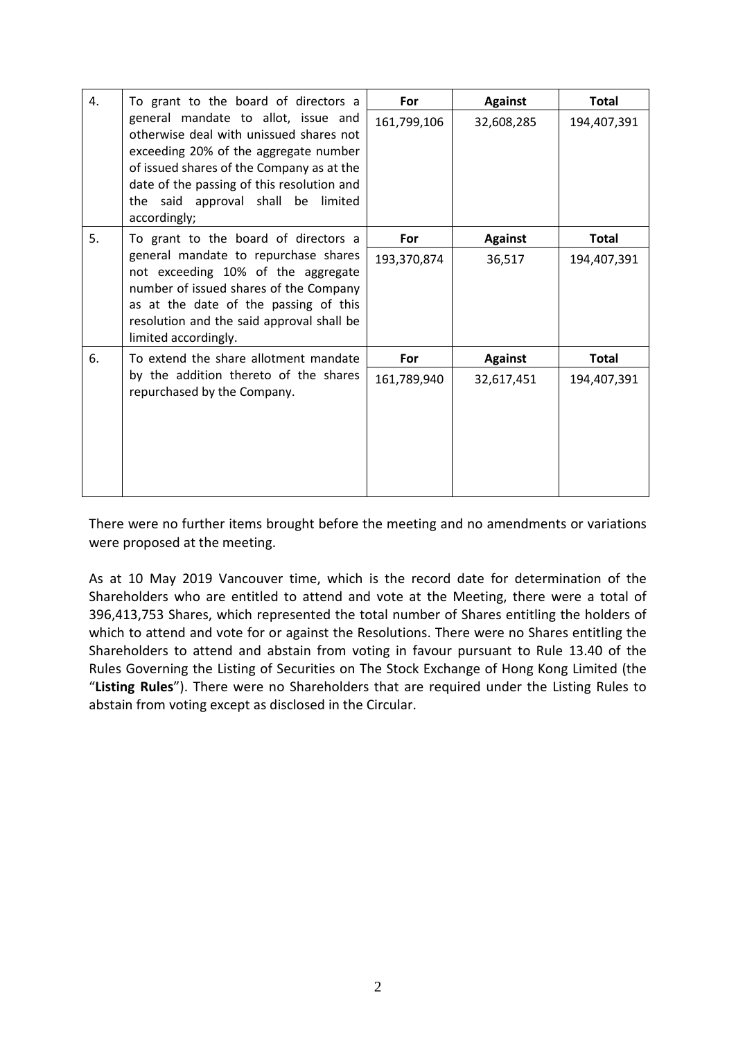| 4. | To grant to the board of directors a                                                                                                                                                                                                                                        | For         | <b>Against</b> | <b>Total</b> |
|----|-----------------------------------------------------------------------------------------------------------------------------------------------------------------------------------------------------------------------------------------------------------------------------|-------------|----------------|--------------|
|    | general mandate to allot, issue and<br>otherwise deal with unissued shares not<br>exceeding 20% of the aggregate number<br>of issued shares of the Company as at the<br>date of the passing of this resolution and<br>the said approval shall be<br>limited<br>accordingly; | 161,799,106 | 32,608,285     | 194,407,391  |
| 5. | To grant to the board of directors a                                                                                                                                                                                                                                        | For         | <b>Against</b> | <b>Total</b> |
|    | general mandate to repurchase shares<br>not exceeding 10% of the aggregate<br>number of issued shares of the Company<br>as at the date of the passing of this<br>resolution and the said approval shall be<br>limited accordingly.                                          | 193,370,874 | 36,517         | 194,407,391  |
| 6. | To extend the share allotment mandate<br>by the addition thereto of the shares<br>repurchased by the Company.                                                                                                                                                               | For         | <b>Against</b> | <b>Total</b> |
|    |                                                                                                                                                                                                                                                                             | 161,789,940 | 32,617,451     | 194,407,391  |

There were no further items brought before the meeting and no amendments or variations were proposed at the meeting.

As at 10 May 2019 Vancouver time, which is the record date for determination of the Shareholders who are entitled to attend and vote at the Meeting, there were a total of 396,413,753 Shares, which represented the total number of Shares entitling the holders of which to attend and vote for or against the Resolutions. There were no Shares entitling the Shareholders to attend and abstain from voting in favour pursuant to Rule 13.40 of the Rules Governing the Listing of Securities on The Stock Exchange of Hong Kong Limited (the "**Listing Rules**"). There were no Shareholders that are required under the Listing Rules to abstain from voting except as disclosed in the Circular.